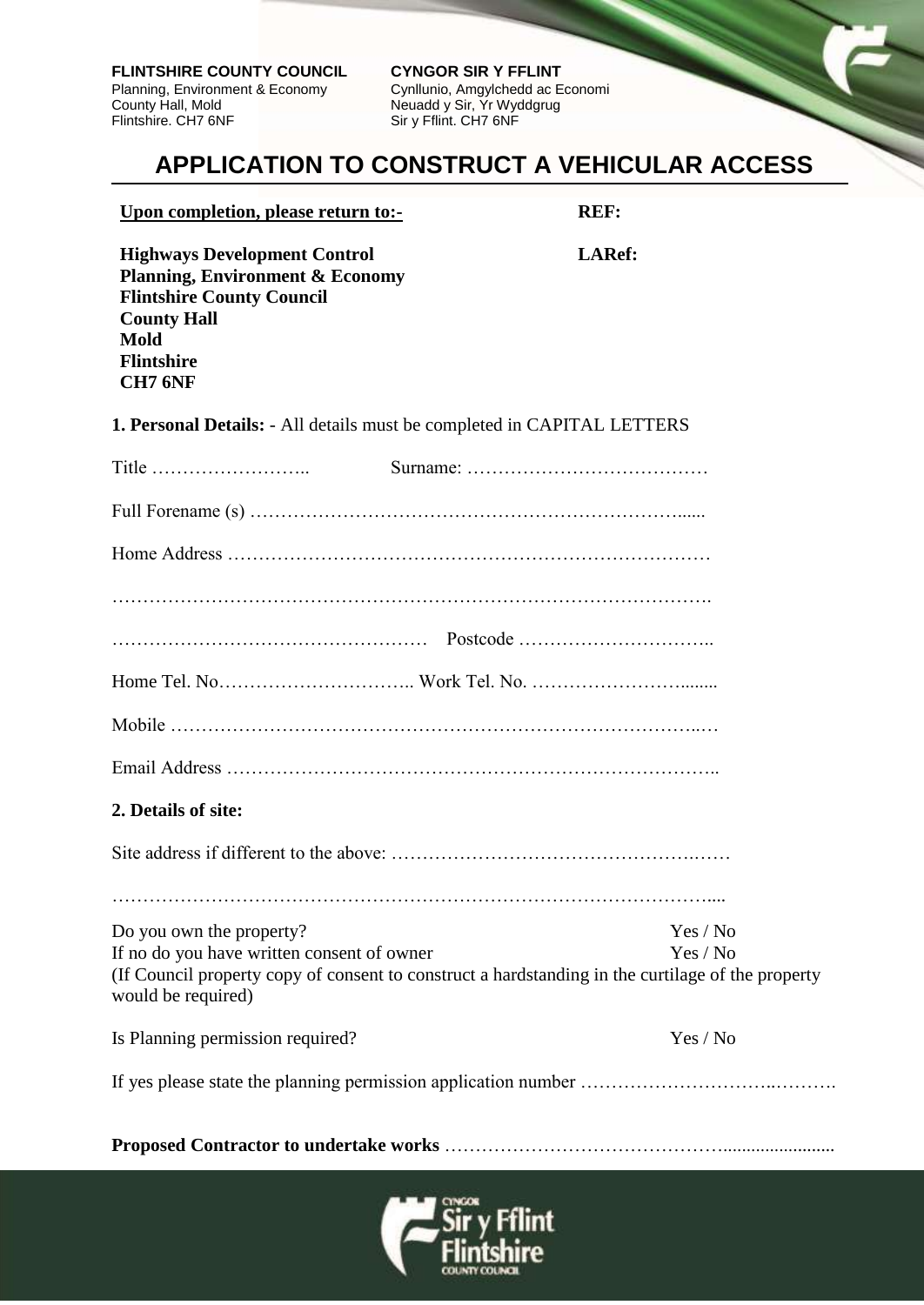**FLINTSHIRE COUNTY COUNCIL CYNGOR SIR Y FFLINT**<br>Planning, Environment & Economy Cynllunio, Amgylchedd ac Economi Planning, Environment & Economy<br>County Hall, Mold County Hall, Mold<br>
Flintshire. CH7 6NF<br>
Sir y Fflint. CH7 6NF<br>
Sir y Fflint. CH7 6NF

Sir y Fflint. CH7 6NF

## **APPLICATION TO CONSTRUCT A VEHICULAR ACCESS**

|  | Upon completion, please return to:- |  |  |
|--|-------------------------------------|--|--|
|  |                                     |  |  |

 **REF:**

 **LARef:**

**Highways Development Control Planning, Environment & Economy Flintshire County Council County Hall Mold Flintshire CH7 6NF**

**1. Personal Details:** - All details must be completed in CAPITAL LETTERS

| Title $\dots \dots \dots \dots \dots \dots \dots$ |                                                                                                   |          |  |  |  |  |  |
|---------------------------------------------------|---------------------------------------------------------------------------------------------------|----------|--|--|--|--|--|
|                                                   |                                                                                                   |          |  |  |  |  |  |
|                                                   |                                                                                                   |          |  |  |  |  |  |
|                                                   |                                                                                                   |          |  |  |  |  |  |
|                                                   |                                                                                                   |          |  |  |  |  |  |
|                                                   |                                                                                                   |          |  |  |  |  |  |
|                                                   |                                                                                                   |          |  |  |  |  |  |
|                                                   |                                                                                                   |          |  |  |  |  |  |
| 2. Details of site:                               |                                                                                                   |          |  |  |  |  |  |
|                                                   |                                                                                                   |          |  |  |  |  |  |
|                                                   |                                                                                                   |          |  |  |  |  |  |
| Do you own the property?                          |                                                                                                   | Yes / No |  |  |  |  |  |
| If no do you have written consent of owner        |                                                                                                   | Yes / No |  |  |  |  |  |
| would be required)                                | (If Council property copy of consent to construct a hardstanding in the curtilage of the property |          |  |  |  |  |  |
| Is Planning permission required?                  |                                                                                                   | Yes / No |  |  |  |  |  |
|                                                   |                                                                                                   |          |  |  |  |  |  |
|                                                   |                                                                                                   |          |  |  |  |  |  |